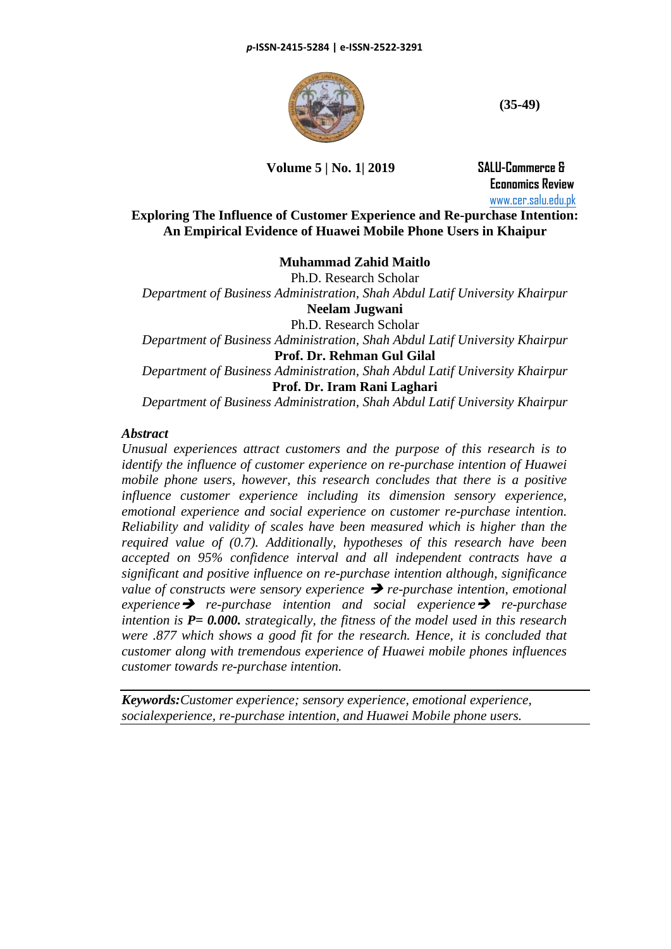

**(35-49)**

## **Volume 5 | No. 1| 2019 SALU-Commerce &**

 **Economics Review** [www.cer.salu.edu.pk](http://www.cer.salu.edu.pk/)

## **Exploring The Influence of Customer Experience and Re-purchase Intention: An Empirical Evidence of Huawei Mobile Phone Users in Khaipur**

### **Muhammad Zahid Maitlo**

Ph.D. Research Scholar *Department of Business Administration, Shah Abdul Latif University Khairpur* **Neelam Jugwani** Ph.D. Research Scholar *Department of Business Administration, Shah Abdul Latif University Khairpur* **Prof. Dr. Rehman Gul Gilal** *Department of Business Administration, Shah Abdul Latif University Khairpur* **Prof. Dr. Iram Rani Laghari** *Department of Business Administration, Shah Abdul Latif University Khairpur*

### *Abstract*

*Unusual experiences attract customers and the purpose of this research is to identify the influence of customer experience on re-purchase intention of Huawei mobile phone users, however, this research concludes that there is a positive influence customer experience including its dimension sensory experience, emotional experience and social experience on customer re-purchase intention. Reliability and validity of scales have been measured which is higher than the required value of (0.7). Additionally, hypotheses of this research have been accepted on 95% confidence interval and all independent contracts have a significant and positive influence on re-purchase intention although, significance value of constructs were sensory experience* ➔ *re-purchase intention, emotional experience*➔ *re-purchase intention and social experience*➔ *re-purchase intention is P= 0.000. strategically, the fitness of the model used in this research were .877 which shows a good fit for the research. Hence, it is concluded that customer along with tremendous experience of Huawei mobile phones influences customer towards re-purchase intention.*

*Keywords:Customer experience; sensory experience, emotional experience, socialexperience, re-purchase intention, and Huawei Mobile phone users.*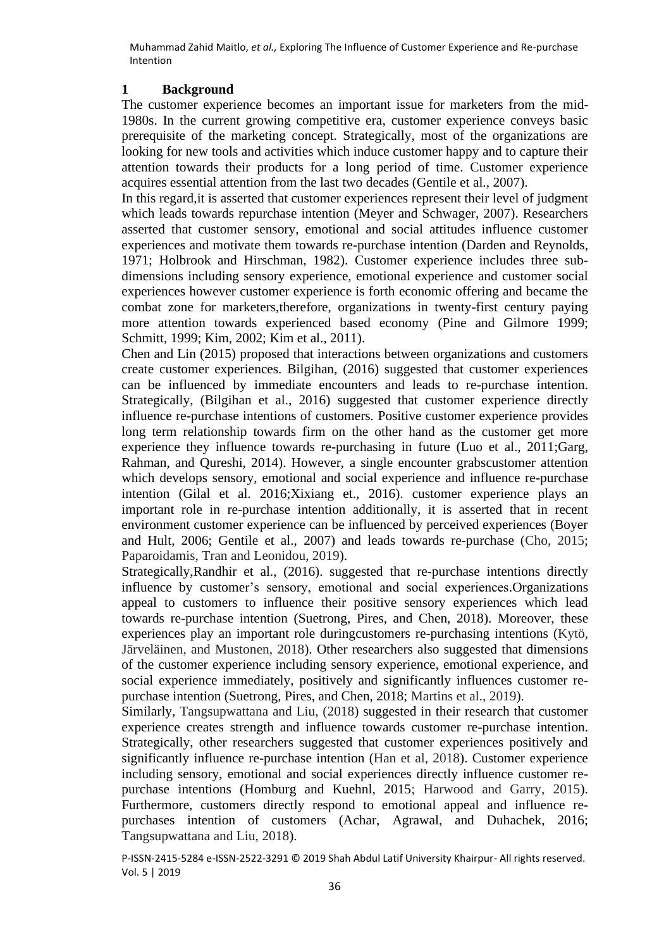### **1 Background**

The customer experience becomes an important issue for marketers from the mid-1980s. In the current growing competitive era, customer experience conveys basic prerequisite of the marketing concept. Strategically, most of the organizations are looking for new tools and activities which induce customer happy and to capture their attention towards their products for a long period of time. Customer experience acquires essential attention from the last two decades (Gentile et al., 2007).

In this regard,it is asserted that customer experiences represent their level of judgment which leads towards repurchase intention (Meyer and Schwager, 2007). Researchers asserted that customer sensory, emotional and social attitudes influence customer experiences and motivate them towards re-purchase intention (Darden and Reynolds, 1971; Holbrook and Hirschman, 1982). Customer experience includes three subdimensions including sensory experience, emotional experience and customer social experiences however customer experience is forth economic offering and became the combat zone for marketers,therefore, organizations in twenty-first century paying more attention towards experienced based economy (Pine and Gilmore 1999; Schmitt, 1999; Kim, 2002; Kim et al., 2011).

Chen and Lin (2015) proposed that interactions between organizations and customers create customer experiences. Bilgihan, (2016) suggested that customer experiences can be influenced by immediate encounters and leads to re-purchase intention. Strategically, (Bilgihan et al., 2016) suggested that customer experience directly influence re-purchase intentions of customers. Positive customer experience provides long term relationship towards firm on the other hand as the customer get more experience they influence towards re-purchasing in future (Luo et al., 2011;Garg, Rahman, and Qureshi, 2014). However, a single encounter grabscustomer attention which develops sensory, emotional and social experience and influence re-purchase intention (Gilal et al. 2016;Xixiang et., 2016). customer experience plays an important role in re-purchase intention additionally, it is asserted that in recent environment customer experience can be influenced by perceived experiences (Boyer and Hult, 2006; Gentile et al., 2007) and leads towards re-purchase (Cho, 2015; Paparoidamis, Tran and Leonidou, 2019).

Strategically,Randhir et al., (2016). suggested that re-purchase intentions directly influence by customer's sensory, emotional and social experiences.Organizations appeal to customers to influence their positive sensory experiences which lead towards re-purchase intention (Suetrong, Pires, and Chen, 2018). Moreover, these experiences play an important role duringcustomers re-purchasing intentions (Kytö, Järveläinen, and Mustonen, 2018). Other researchers also suggested that dimensions of the customer experience including sensory experience, emotional experience, and social experience immediately, positively and significantly influences customer repurchase intention (Suetrong, Pires, and Chen, 2018; Martins et al., 2019).

Similarly, Tangsupwattana and Liu, (2018) suggested in their research that customer experience creates strength and influence towards customer re-purchase intention. Strategically, other researchers suggested that customer experiences positively and significantly influence re-purchase intention (Han et al, 2018). Customer experience including sensory, emotional and social experiences directly influence customer repurchase intentions (Homburg and Kuehnl, 2015; Harwood and Garry, 2015). Furthermore, customers directly respond to emotional appeal and influence repurchases intention of customers (Achar, Agrawal, and Duhachek, 2016; Tangsupwattana and Liu, 2018).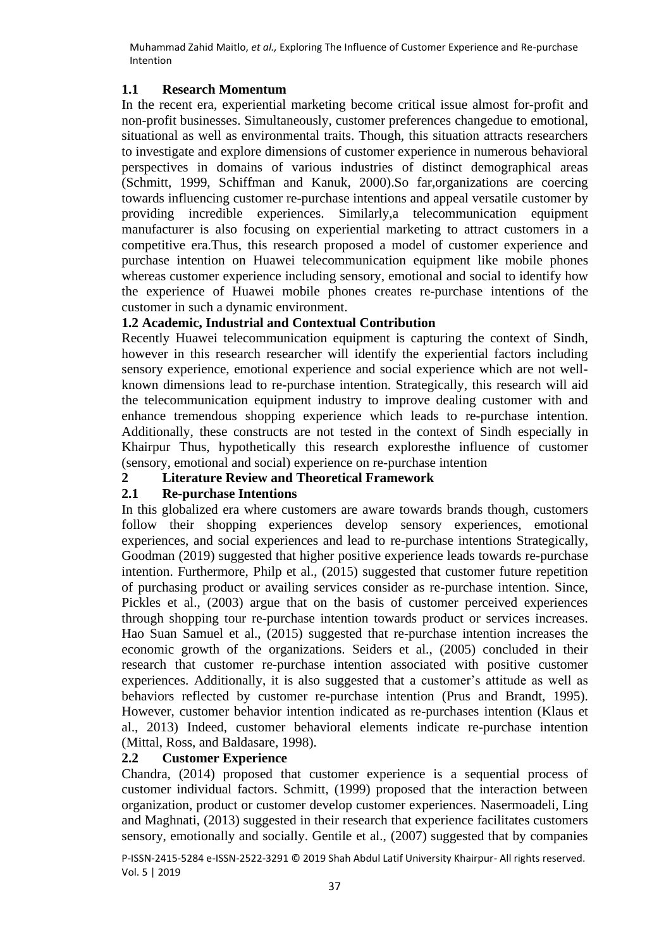## **1.1 Research Momentum**

In the recent era, experiential marketing become critical issue almost for-profit and non-profit businesses. Simultaneously, customer preferences changedue to emotional, situational as well as environmental traits. Though, this situation attracts researchers to investigate and explore dimensions of customer experience in numerous behavioral perspectives in domains of various industries of distinct demographical areas (Schmitt, 1999, Schiffman and Kanuk, 2000).So far,organizations are coercing towards influencing customer re-purchase intentions and appeal versatile customer by providing incredible experiences. Similarly,a telecommunication equipment manufacturer is also focusing on experiential marketing to attract customers in a competitive era.Thus, this research proposed a model of customer experience and purchase intention on Huawei telecommunication equipment like mobile phones whereas customer experience including sensory, emotional and social to identify how the experience of Huawei mobile phones creates re-purchase intentions of the customer in such a dynamic environment.

## **1.2 Academic, Industrial and Contextual Contribution**

Recently Huawei telecommunication equipment is capturing the context of Sindh, however in this research researcher will identify the experiential factors including sensory experience, emotional experience and social experience which are not wellknown dimensions lead to re-purchase intention. Strategically, this research will aid the telecommunication equipment industry to improve dealing customer with and enhance tremendous shopping experience which leads to re-purchase intention. Additionally, these constructs are not tested in the context of Sindh especially in Khairpur Thus, hypothetically this research exploresthe influence of customer (sensory, emotional and social) experience on re-purchase intention

## **2 Literature Review and Theoretical Framework**

## **2.1 Re-purchase Intentions**

In this globalized era where customers are aware towards brands though, customers follow their shopping experiences develop sensory experiences, emotional experiences, and social experiences and lead to re-purchase intentions Strategically, Goodman (2019) suggested that higher positive experience leads towards re-purchase intention. Furthermore, Philp et al., (2015) suggested that customer future repetition of purchasing product or availing services consider as re-purchase intention. Since, Pickles et al., (2003) argue that on the basis of customer perceived experiences through shopping tour re-purchase intention towards product or services increases. Hao Suan Samuel et al., (2015) suggested that re-purchase intention increases the economic growth of the organizations. Seiders et al., (2005) concluded in their research that customer re-purchase intention associated with positive customer experiences. Additionally, it is also suggested that a customer's attitude as well as behaviors reflected by customer re-purchase intention (Prus and Brandt, 1995). However, customer behavior intention indicated as re-purchases intention (Klaus et al., 2013) Indeed, customer behavioral elements indicate re-purchase intention (Mittal, Ross, and Baldasare, 1998).

## **2.2 Customer Experience**

Chandra, (2014) proposed that customer experience is a sequential process of customer individual factors. Schmitt, (1999) proposed that the interaction between organization, product or customer develop customer experiences. Nasermoadeli, Ling and Maghnati, (2013) suggested in their research that experience facilitates customers sensory, emotionally and socially. Gentile et al., (2007) suggested that by companies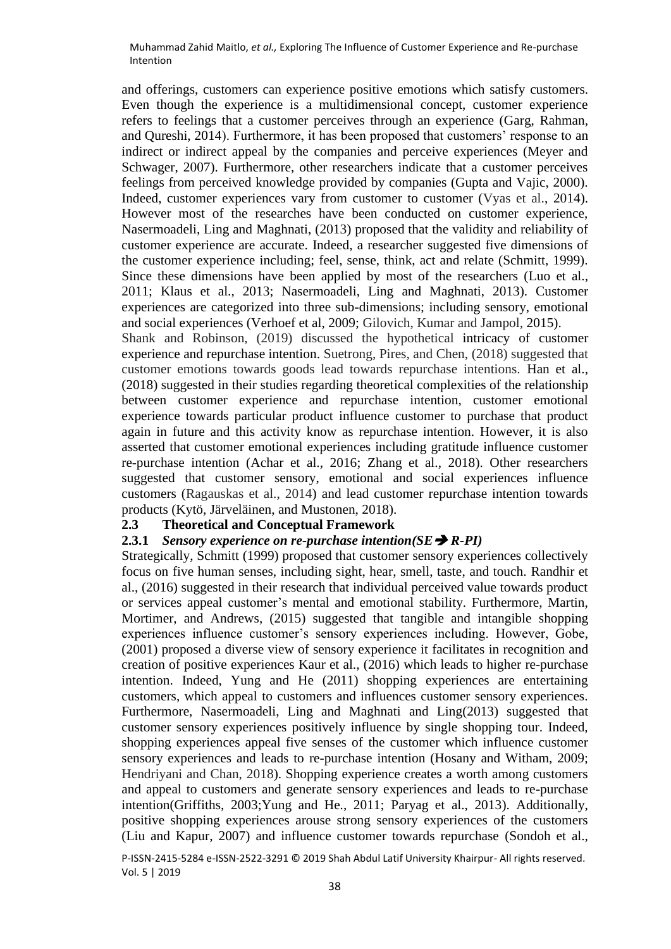and offerings, customers can experience positive emotions which satisfy customers. Even though the experience is a multidimensional concept, customer experience refers to feelings that a customer perceives through an experience (Garg, Rahman, and Qureshi, 2014). Furthermore, it has been proposed that customers' response to an indirect or indirect appeal by the companies and perceive experiences (Meyer and Schwager, 2007). Furthermore, other researchers indicate that a customer perceives feelings from perceived knowledge provided by companies (Gupta and Vajic, 2000). Indeed, customer experiences vary from customer to customer (Vyas et al., 2014). However most of the researches have been conducted on customer experience, Nasermoadeli, Ling and Maghnati, (2013) proposed that the validity and reliability of customer experience are accurate. Indeed, a researcher suggested five dimensions of the customer experience including; feel, sense, think, act and relate (Schmitt, 1999). Since these dimensions have been applied by most of the researchers (Luo et al., 2011; Klaus et al., 2013; Nasermoadeli, Ling and Maghnati, 2013). Customer experiences are categorized into three sub-dimensions; including sensory, emotional and social experiences (Verhoef et al, 2009; Gilovich, Kumar and Jampol, 2015).

Shank and Robinson, (2019) discussed the hypothetical intricacy of customer experience and repurchase intention. Suetrong, Pires, and Chen, (2018) suggested that customer emotions towards goods lead towards repurchase intentions. Han et al., (2018) suggested in their studies regarding theoretical complexities of the relationship between customer experience and repurchase intention, customer emotional experience towards particular product influence customer to purchase that product again in future and this activity know as repurchase intention. However, it is also asserted that customer emotional experiences including gratitude influence customer re-purchase intention (Achar et al., 2016; Zhang et al., 2018). Other researchers suggested that customer sensory, emotional and social experiences influence customers (Ragauskas et al., 2014) and lead customer repurchase intention towards products (Kytö, Järveläinen, and Mustonen, 2018).

### **2.3 Theoretical and Conceptual Framework**

### **2.3.1** *Sensory experience on re-purchase intention(SE*➔ *R-PI)*

Strategically, Schmitt (1999) proposed that customer sensory experiences collectively focus on five human senses, including sight, hear, smell, taste, and touch. Randhir et al., (2016) suggested in their research that individual perceived value towards product or services appeal customer's mental and emotional stability. Furthermore, Martin, Mortimer, and Andrews, (2015) suggested that tangible and intangible shopping experiences influence customer's sensory experiences including. However, Gobe, (2001) proposed a diverse view of sensory experience it facilitates in recognition and creation of positive experiences Kaur et al., (2016) which leads to higher re-purchase intention. Indeed, Yung and He (2011) shopping experiences are entertaining customers, which appeal to customers and influences customer sensory experiences. Furthermore, Nasermoadeli, Ling and Maghnati and Ling(2013) suggested that customer sensory experiences positively influence by single shopping tour. Indeed, shopping experiences appeal five senses of the customer which influence customer sensory experiences and leads to re-purchase intention (Hosany and Witham, 2009; Hendriyani and Chan, 2018). Shopping experience creates a worth among customers and appeal to customers and generate sensory experiences and leads to re-purchase intention(Griffiths, 2003;Yung and He., 2011; Paryag et al., 2013). Additionally, positive shopping experiences arouse strong sensory experiences of the customers (Liu and Kapur, 2007) and influence customer towards repurchase (Sondoh et al.,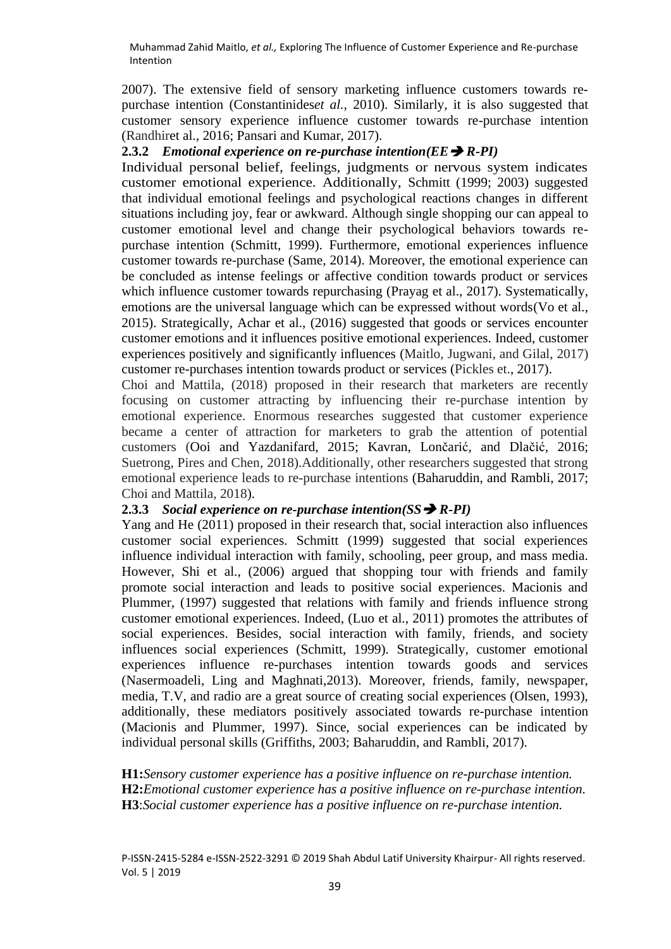2007). The extensive field of sensory marketing influence customers towards repurchase intention (Constantinides*et al.,* 2010). Similarly, it is also suggested that customer sensory experience influence customer towards re-purchase intention (Randhiret al., 2016; Pansari and Kumar, 2017).

### **2.3.2** *Emotional experience on re-purchase intention(EE*➔ *R-PI)*

Individual personal belief, feelings, judgments or nervous system indicates customer emotional experience. Additionally, Schmitt (1999; 2003) suggested that individual emotional feelings and psychological reactions changes in different situations including joy, fear or awkward. Although single shopping our can appeal to customer emotional level and change their psychological behaviors towards repurchase intention (Schmitt, 1999). Furthermore, emotional experiences influence customer towards re-purchase (Same, 2014). Moreover, the emotional experience can be concluded as intense feelings or affective condition towards product or services which influence customer towards repurchasing (Prayag et al., 2017). Systematically, emotions are the universal language which can be expressed without words(Vo et al., 2015). Strategically, Achar et al., (2016) suggested that goods or services encounter customer emotions and it influences positive emotional experiences. Indeed, customer experiences positively and significantly influences (Maitlo, Jugwani, and Gilal, 2017) customer re-purchases intention towards product or services (Pickles et., 2017).

Choi and Mattila, (2018) proposed in their research that marketers are recently focusing on customer attracting by influencing their re-purchase intention by emotional experience. Enormous researches suggested that customer experience became a center of attraction for marketers to grab the attention of potential customers (Ooi and Yazdanifard, 2015; Kavran, Lončarić, and Dlačić, 2016; Suetrong, Pires and Chen, 2018).Additionally, other researchers suggested that strong emotional experience leads to re-purchase intentions (Baharuddin, and Rambli, 2017; Choi and Mattila, 2018).

### **2.3.3** *Social experience on re-purchase intention(SS*➔ *R-PI)*

Yang and He (2011) proposed in their research that, social interaction also influences customer social experiences. Schmitt (1999) suggested that social experiences influence individual interaction with family, schooling, peer group, and mass media. However, Shi et al., (2006) argued that shopping tour with friends and family promote social interaction and leads to positive social experiences. Macionis and Plummer, (1997) suggested that relations with family and friends influence strong customer emotional experiences. Indeed, (Luo et al., 2011) promotes the attributes of social experiences. Besides, social interaction with family, friends, and society influences social experiences (Schmitt, 1999). Strategically, customer emotional experiences influence re-purchases intention towards goods and services (Nasermoadeli, Ling and Maghnati,2013). Moreover, friends, family, newspaper, media, T.V, and radio are a great source of creating social experiences (Olsen, 1993), additionally, these mediators positively associated towards re-purchase intention (Macionis and Plummer, 1997). Since, social experiences can be indicated by individual personal skills (Griffiths, 2003; Baharuddin, and Rambli, 2017).

**H1:***Sensory customer experience has a positive influence on re-purchase intention.* **H2:***Emotional customer experience has a positive influence on re-purchase intention.* **H3**:*Social customer experience has a positive influence on re-purchase intention.*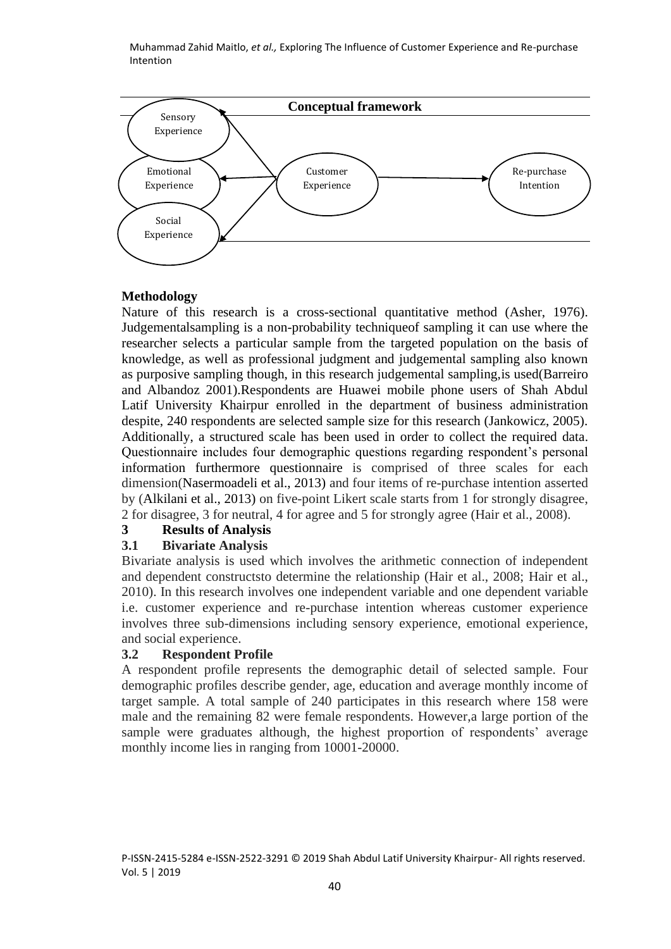

## **Methodology**

Nature of this research is a cross-sectional quantitative method (Asher, 1976). Judgementalsampling is a non-probability techniqueof sampling it can use where the researcher selects a particular sample from the targeted population on the basis of knowledge, as well as professional judgment and judgemental sampling also known as purposive sampling though, in this research judgemental sampling,is used(Barreiro and Albandoz 2001).Respondents are Huawei mobile phone users of Shah Abdul Latif University Khairpur enrolled in the department of business administration despite, 240 respondents are selected sample size for this research (Jankowicz, 2005). Additionally, a structured scale has been used in order to collect the required data. Questionnaire includes four demographic questions regarding respondent's personal information furthermore questionnaire is comprised of three scales for each dimension(Nasermoadeli et al., 2013) and four items of re-purchase intention asserted by (Alkilani et al., 2013) on five-point Likert scale starts from 1 for strongly disagree, 2 for disagree, 3 for neutral, 4 for agree and 5 for strongly agree (Hair et al., 2008).

# **3 Results of Analysis**

## **3.1 Bivariate Analysis**

Bivariate analysis is used which involves the arithmetic connection of independent and dependent constructsto determine the relationship (Hair et al., 2008; Hair et al., 2010). In this research involves one independent variable and one dependent variable i.e. customer experience and re-purchase intention whereas customer experience involves three sub-dimensions including sensory experience, emotional experience, and social experience.

## **3.2 Respondent Profile**

A respondent profile represents the demographic detail of selected sample. Four demographic profiles describe gender, age, education and average monthly income of target sample. A total sample of 240 participates in this research where 158 were male and the remaining 82 were female respondents. However,a large portion of the sample were graduates although, the highest proportion of respondents' average monthly income lies in ranging from 10001-20000.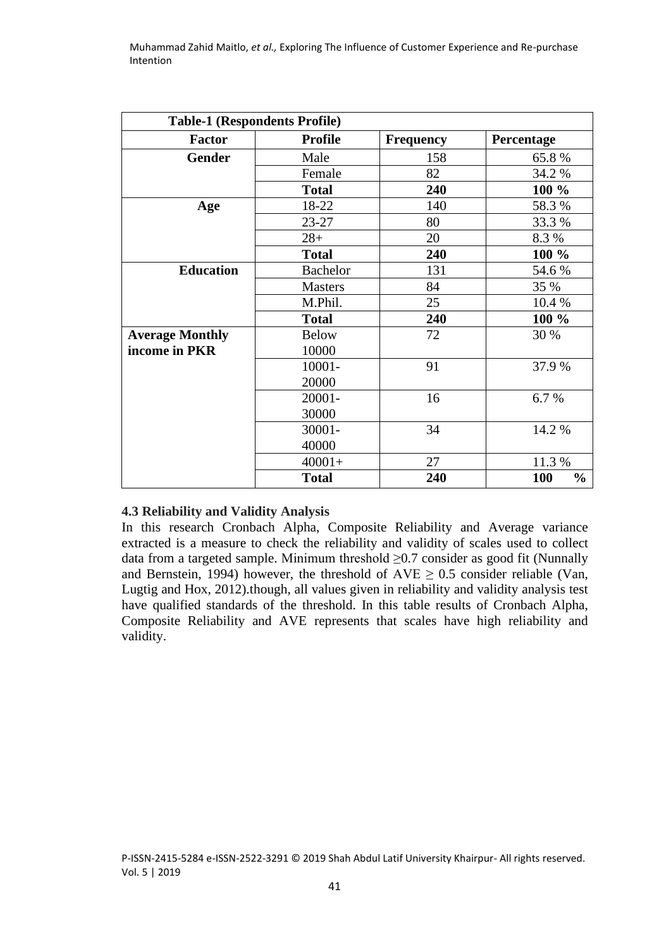| <b>Table-1 (Respondents Profile)</b> |                 |                  |                      |  |  |  |
|--------------------------------------|-----------------|------------------|----------------------|--|--|--|
| <b>Factor</b>                        | <b>Profile</b>  | <b>Frequency</b> | Percentage           |  |  |  |
| <b>Gender</b>                        | Male            | 158              | 65.8%                |  |  |  |
|                                      | Female          | 82               | 34.2 %               |  |  |  |
|                                      | <b>Total</b>    | 240              | 100 %                |  |  |  |
| Age                                  | 18-22           | 140              | 58.3%                |  |  |  |
|                                      | $23 - 27$       | 80               | 33.3 %               |  |  |  |
|                                      | $28+$           | 20               | 8.3 %                |  |  |  |
|                                      | <b>Total</b>    | 240              | 100 %                |  |  |  |
| <b>Education</b>                     | <b>Bachelor</b> | 131              | 54.6 %               |  |  |  |
|                                      | <b>Masters</b>  | 84               | 35 %                 |  |  |  |
|                                      | M.Phil.         | 25               | 10.4 %               |  |  |  |
|                                      | <b>Total</b>    | 240              | 100 %                |  |  |  |
| <b>Average Monthly</b>               | <b>Below</b>    | 72               | 30 %                 |  |  |  |
| income in PKR                        | 10000           |                  |                      |  |  |  |
|                                      | 10001-          | 91               | 37.9 %               |  |  |  |
|                                      | 20000           |                  |                      |  |  |  |
|                                      | 20001-          | 16               | 6.7 %                |  |  |  |
|                                      | 30000           |                  |                      |  |  |  |
|                                      | 30001-          | 34               | 14.2 %               |  |  |  |
|                                      | 40000           |                  |                      |  |  |  |
|                                      | $40001+$        | 27               | 11.3 %               |  |  |  |
|                                      | <b>Total</b>    | 240              | 100<br>$\frac{0}{0}$ |  |  |  |

### **4.3 Reliability and Validity Analysis**

In this research Cronbach Alpha, Composite Reliability and Average variance extracted is a measure to check the reliability and validity of scales used to collect data from a targeted sample. Minimum threshold  $\geq 0.7$  consider as good fit (Nunnally and Bernstein, 1994) however, the threshold of  $AVE \geq 0.5$  consider reliable (Van, Lugtig and Hox, 2012).though, all values given in reliability and validity analysis test have qualified standards of the threshold. In this table results of Cronbach Alpha, Composite Reliability and AVE represents that scales have high reliability and validity.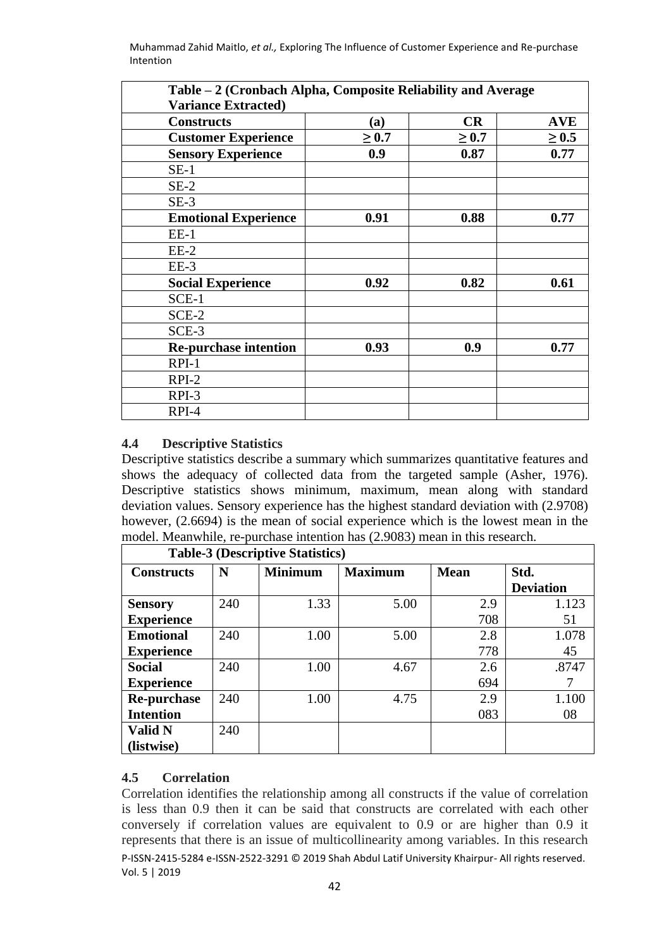| Table – 2 (Cronbach Alpha, Composite Reliability and Average |            |            |            |
|--------------------------------------------------------------|------------|------------|------------|
| <b>Variance Extracted)</b>                                   |            |            |            |
| <b>Constructs</b>                                            | (a)        | <b>CR</b>  | <b>AVE</b> |
| <b>Customer Experience</b>                                   | $\geq 0.7$ | $\geq 0.7$ | $\geq 0.5$ |
| <b>Sensory Experience</b>                                    | 0.9        | 0.87       | 0.77       |
| $SE-1$                                                       |            |            |            |
| $SE-2$                                                       |            |            |            |
| $SE-3$                                                       |            |            |            |
| <b>Emotional Experience</b>                                  | 0.91       | 0.88       | 0.77       |
| $EE-1$                                                       |            |            |            |
| $EE-2$                                                       |            |            |            |
| $EE-3$                                                       |            |            |            |
| <b>Social Experience</b>                                     | 0.92       | 0.82       | 0.61       |
| $SCE-1$                                                      |            |            |            |
| $SCE-2$                                                      |            |            |            |
| SCE-3                                                        |            |            |            |
| <b>Re-purchase intention</b>                                 | 0.93       | 0.9        | 0.77       |
| $RPI-1$                                                      |            |            |            |
| $RPI-2$                                                      |            |            |            |
| $RPI-3$                                                      |            |            |            |
| RPI-4                                                        |            |            |            |

## **4.4 Descriptive Statistics**

Descriptive statistics describe a summary which summarizes quantitative features and shows the adequacy of collected data from the targeted sample (Asher, 1976). Descriptive statistics shows minimum, maximum, mean along with standard deviation values. Sensory experience has the highest standard deviation with (2.9708) however, (2.6694) is the mean of social experience which is the lowest mean in the model. Meanwhile, re-purchase intention has (2.9083) mean in this research.

| <b>Table-3 (Descriptive Statistics)</b> |                                                      |      |      |      |                  |  |  |
|-----------------------------------------|------------------------------------------------------|------|------|------|------------------|--|--|
| <b>Constructs</b>                       | N<br><b>Minimum</b><br><b>Mean</b><br><b>Maximum</b> |      |      | Std. |                  |  |  |
|                                         |                                                      |      |      |      | <b>Deviation</b> |  |  |
| <b>Sensory</b>                          | 240                                                  | 1.33 | 5.00 | 2.9  | 1.123            |  |  |
| <b>Experience</b>                       |                                                      |      |      | 708  | 51               |  |  |
| <b>Emotional</b>                        | 240                                                  | 1.00 | 5.00 | 2.8  | 1.078            |  |  |
| <b>Experience</b>                       |                                                      |      |      | 778  | 45               |  |  |
| <b>Social</b>                           | 240                                                  | 1.00 | 4.67 | 2.6  | .8747            |  |  |
| <b>Experience</b>                       |                                                      |      |      | 694  |                  |  |  |
| <b>Re-purchase</b>                      | 240                                                  | 1.00 | 4.75 | 2.9  | 1.100            |  |  |
| <b>Intention</b>                        |                                                      |      |      | 083  | 08               |  |  |
| <b>Valid N</b>                          | 240                                                  |      |      |      |                  |  |  |
| (listwise)                              |                                                      |      |      |      |                  |  |  |

### **4.5 Correlation**

P-ISSN-2415-5284 e-ISSN-2522-3291 © 2019 Shah Abdul Latif University Khairpur- All rights reserved. Vol. 5 | 2019 Correlation identifies the relationship among all constructs if the value of correlation is less than 0.9 then it can be said that constructs are correlated with each other conversely if correlation values are equivalent to 0.9 or are higher than 0.9 it represents that there is an issue of multicollinearity among variables. In this research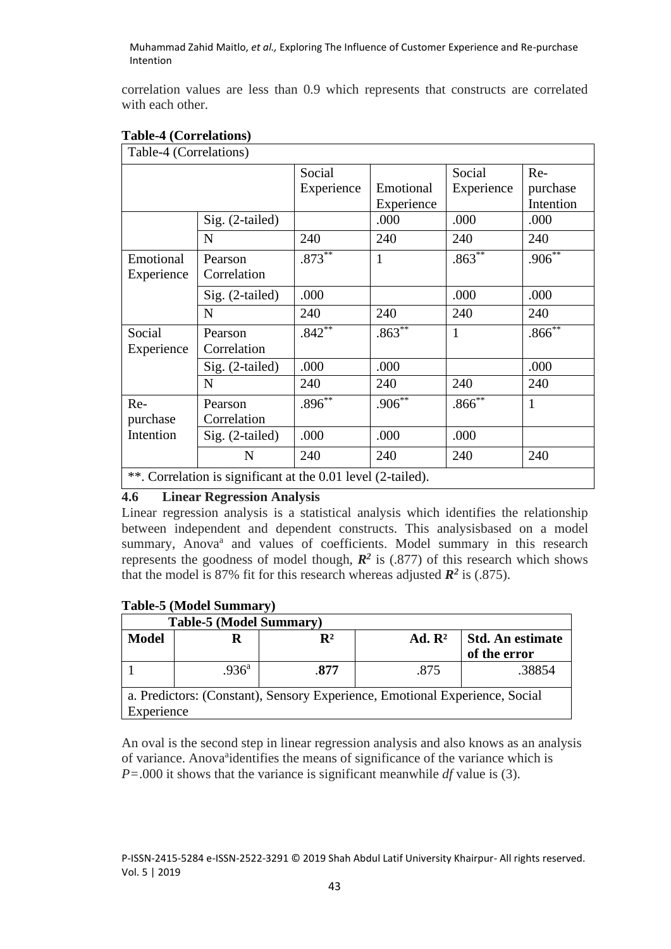correlation values are less than 0.9 which represents that constructs are correlated with each other.

| Table-4 (Correlations)                                       |                        |                      |                         |                      |                              |  |
|--------------------------------------------------------------|------------------------|----------------------|-------------------------|----------------------|------------------------------|--|
|                                                              |                        | Social<br>Experience | Emotional<br>Experience | Social<br>Experience | Re-<br>purchase<br>Intention |  |
|                                                              | Sig. (2-tailed)        |                      | .000                    | .000                 | .000                         |  |
|                                                              | $\mathbf N$            | 240                  | 240                     | 240                  | 240                          |  |
| Emotional<br>Experience                                      | Pearson<br>Correlation | $.873***$            | $\mathbf{1}$            | $.863***$            | $.906^{**}$                  |  |
|                                                              | Sig. (2-tailed)        | .000                 |                         | .000                 | .000                         |  |
|                                                              | N                      | 240                  | 240                     | 240                  | 240                          |  |
| Social<br>Experience                                         | Pearson<br>Correlation | $.842**$             | $.863**$                | $\mathbf{1}$         | $.866^{**}$                  |  |
|                                                              | $Sig. (2-tailed)$      | .000                 | .000                    |                      | .000                         |  |
|                                                              | N                      | 240                  | 240                     | 240                  | 240                          |  |
| Re-<br>purchase                                              | Pearson<br>Correlation | $.896**$             | $.906**$                | $.866^{**}$          | $\mathbf{1}$                 |  |
| Intention                                                    | Sig. (2-tailed)        | .000                 | .000                    | .000                 |                              |  |
|                                                              | N                      | 240                  | 240                     | 240                  | 240                          |  |
| **. Correlation is significant at the 0.01 level (2-tailed). |                        |                      |                         |                      |                              |  |

## **Table-4 (Correlations)**

## **4.6 Linear Regression Analysis**

Linear regression analysis is a statistical analysis which identifies the relationship between independent and dependent constructs. This analysisbased on a model summary, Anova<sup>a</sup> and values of coefficients. Model summary in this research represents the goodness of model though,  $\mathbb{R}^2$  is (.877) of this research which shows that the model is 87% fit for this research whereas adjusted  $\mathbb{R}^2$  is (.875).

## **Table-5 (Model Summary)**

| <b>Table-5 (Model Summary)</b>                                                            |                   |                |                    |                                  |  |  |
|-------------------------------------------------------------------------------------------|-------------------|----------------|--------------------|----------------------------------|--|--|
| <b>Model</b>                                                                              |                   | $\mathbf{R}^2$ | Ad. R <sup>2</sup> | Std. An estimate<br>of the error |  |  |
|                                                                                           | .936 <sup>a</sup> | .877           | .875               | .38854                           |  |  |
| a. Predictors: (Constant), Sensory Experience, Emotional Experience, Social<br>Experience |                   |                |                    |                                  |  |  |

An oval is the second step in linear regression analysis and also knows as an analysis of variance. Anova<sup>a</sup>identifies the means of significance of the variance which is *P=*.000 it shows that the variance is significant meanwhile *df* value is (3).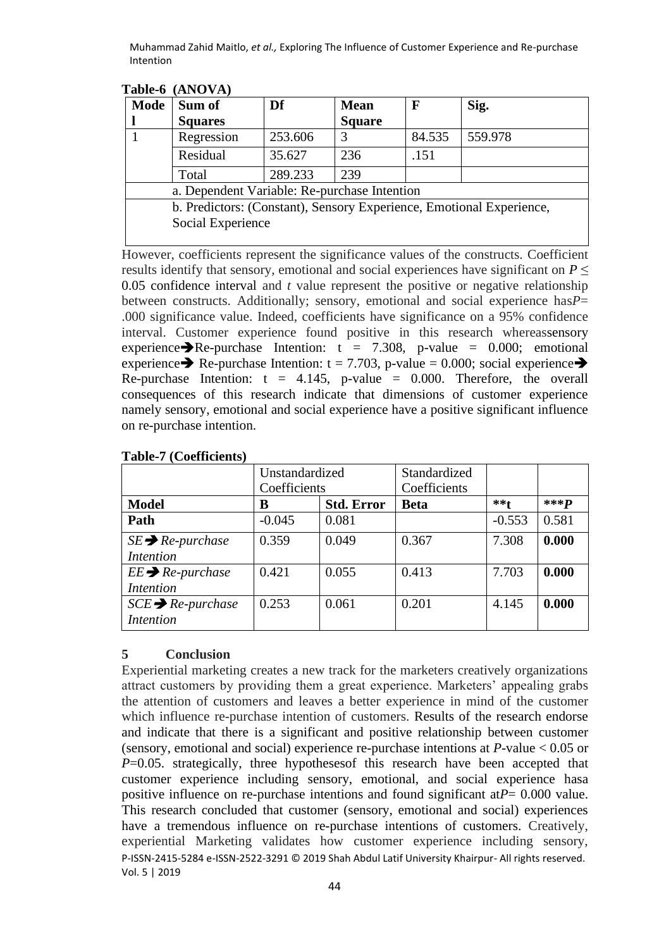| Sum of         | Df      | <b>Mean</b>       | F      | Sig.                                                                                                                 |
|----------------|---------|-------------------|--------|----------------------------------------------------------------------------------------------------------------------|
| <b>Squares</b> |         | <b>Square</b>     |        |                                                                                                                      |
| Regression     | 253.606 | 3                 | 84.535 | 559.978                                                                                                              |
| Residual       | 35.627  | 236               | .151   |                                                                                                                      |
| Total          | 289.233 | 239               |        |                                                                                                                      |
|                |         |                   |        |                                                                                                                      |
|                |         |                   |        |                                                                                                                      |
|                |         |                   |        |                                                                                                                      |
|                |         | Social Experience |        | a. Dependent Variable: Re-purchase Intention<br>b. Predictors: (Constant), Sensory Experience, Emotional Experience, |

**Table-6 (ANOVA)**

However, coefficients represent the significance values of the constructs. Coefficient results identify that sensory, emotional and social experiences have significant on  $P \leq$ 0.05 confidence interval and *t* value represent the positive or negative relationship between constructs. Additionally; sensory, emotional and social experience has*P*= .000 significance value. Indeed, coefficients have significance on a 95% confidence interval. Customer experience found positive in this research whereassensory experience $\blacktriangleright$ Re-purchase Intention:  $t = 7.308$ , p-value = 0.000; emotional experience Re-purchase Intention:  $t = 7.703$ , p-value = 0.000; social experience Re-purchase Intention:  $t = 4.145$ , p-value = 0.000. Therefore, the overall consequences of this research indicate that dimensions of customer experience namely sensory, emotional and social experience have a positive significant influence on re-purchase intention.

|                                | Unstandardized |                   | Standardized |          |         |
|--------------------------------|----------------|-------------------|--------------|----------|---------|
|                                | Coefficients   |                   | Coefficients |          |         |
| <b>Model</b>                   | B              | <b>Std. Error</b> | <b>Beta</b>  | $***f$   | *** $P$ |
| Path                           | $-0.045$       | 0.081             |              | $-0.553$ | 0.581   |
| $SE \rightarrow Re$ -purchase  | 0.359          | 0.049             | 0.367        | 7.308    | 0.000   |
| <i>Intention</i>               |                |                   |              |          |         |
| $EE \rightarrow$ Re-purchase   | 0.421          | 0.055             | 0.413        | 7.703    | 0.000   |
| <i>Intention</i>               |                |                   |              |          |         |
| $SCE \rightarrow Re$ -purchase | 0.253          | 0.061             | 0.201        | 4.145    | 0.000   |
| <i>Intention</i>               |                |                   |              |          |         |

### **Table-7 (Coefficients)**

### **5 Conclusion**

P-ISSN-2415-5284 e-ISSN-2522-3291 © 2019 Shah Abdul Latif University Khairpur- All rights reserved. Vol. 5 | 2019 Experiential marketing creates a new track for the marketers creatively organizations attract customers by providing them a great experience. Marketers' appealing grabs the attention of customers and leaves a better experience in mind of the customer which influence re-purchase intention of customers. Results of the research endorse and indicate that there is a significant and positive relationship between customer (sensory, emotional and social) experience re-purchase intentions at *P*-value < 0.05 or *P*=0.05. strategically, three hypotheses of this research have been accepted that customer experience including sensory, emotional, and social experience hasa positive influence on re-purchase intentions and found significant at*P*= 0.000 value. This research concluded that customer (sensory, emotional and social) experiences have a tremendous influence on re-purchase intentions of customers. Creatively, experiential Marketing validates how customer experience including sensory,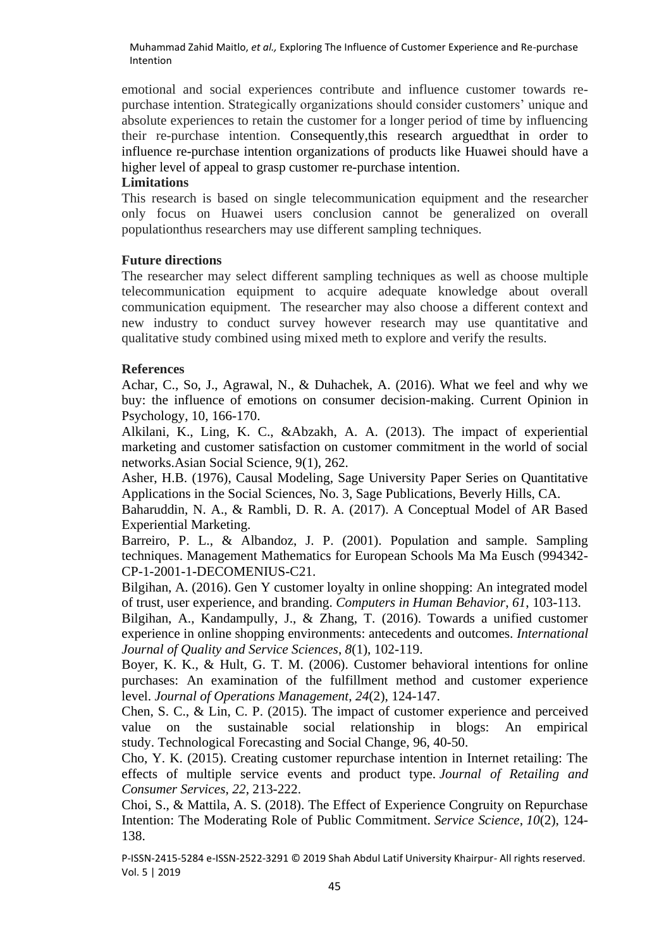emotional and social experiences contribute and influence customer towards repurchase intention. Strategically organizations should consider customers' unique and absolute experiences to retain the customer for a longer period of time by influencing their re-purchase intention. Consequently,this research arguedthat in order to influence re-purchase intention organizations of products like Huawei should have a higher level of appeal to grasp customer re-purchase intention.

### **Limitations**

This research is based on single telecommunication equipment and the researcher only focus on Huawei users conclusion cannot be generalized on overall populationthus researchers may use different sampling techniques.

### **Future directions**

The researcher may select different sampling techniques as well as choose multiple telecommunication equipment to acquire adequate knowledge about overall communication equipment. The researcher may also choose a different context and new industry to conduct survey however research may use quantitative and qualitative study combined using mixed meth to explore and verify the results.

### **References**

Achar, C., So, J., Agrawal, N., & Duhachek, A. (2016). What we feel and why we buy: the influence of emotions on consumer decision-making. Current Opinion in Psychology, 10, 166-170.

Alkilani, K., Ling, K. C., &Abzakh, A. A. (2013). The impact of experiential marketing and customer satisfaction on customer commitment in the world of social networks.Asian Social Science, 9(1), 262.

Asher, H.B. (1976), Causal Modeling, Sage University Paper Series on Quantitative Applications in the Social Sciences, No. 3, Sage Publications, Beverly Hills, CA.

Baharuddin, N. A., & Rambli, D. R. A. (2017). A Conceptual Model of AR Based Experiential Marketing.

Barreiro, P. L., & Albandoz, J. P. (2001). Population and sample. Sampling techniques. Management Mathematics for European Schools Ma Ma Eusch (994342- CP-1-2001-1-DECOMENIUS-C21.

Bilgihan, A. (2016). Gen Y customer loyalty in online shopping: An integrated model of trust, user experience, and branding. *Computers in Human Behavior*, *61*, 103-113.

Bilgihan, A., Kandampully, J., & Zhang, T. (2016). Towards a unified customer experience in online shopping environments: antecedents and outcomes. *International Journal of Quality and Service Sciences*, *8*(1), 102-119.

Boyer, K. K., & Hult, G. T. M. (2006). Customer behavioral intentions for online purchases: An examination of the fulfillment method and customer experience level. *Journal of Operations Management*, *24*(2), 124-147.

Chen, S. C., & Lin, C. P. (2015). The impact of customer experience and perceived value on the sustainable social relationship in blogs: An empirical study. Technological Forecasting and Social Change, 96, 40-50.

Cho, Y. K. (2015). Creating customer repurchase intention in Internet retailing: The effects of multiple service events and product type. *Journal of Retailing and Consumer Services*, *22*, 213-222.

Choi, S., & Mattila, A. S. (2018). The Effect of Experience Congruity on Repurchase Intention: The Moderating Role of Public Commitment. *Service Science*, *10*(2), 124- 138.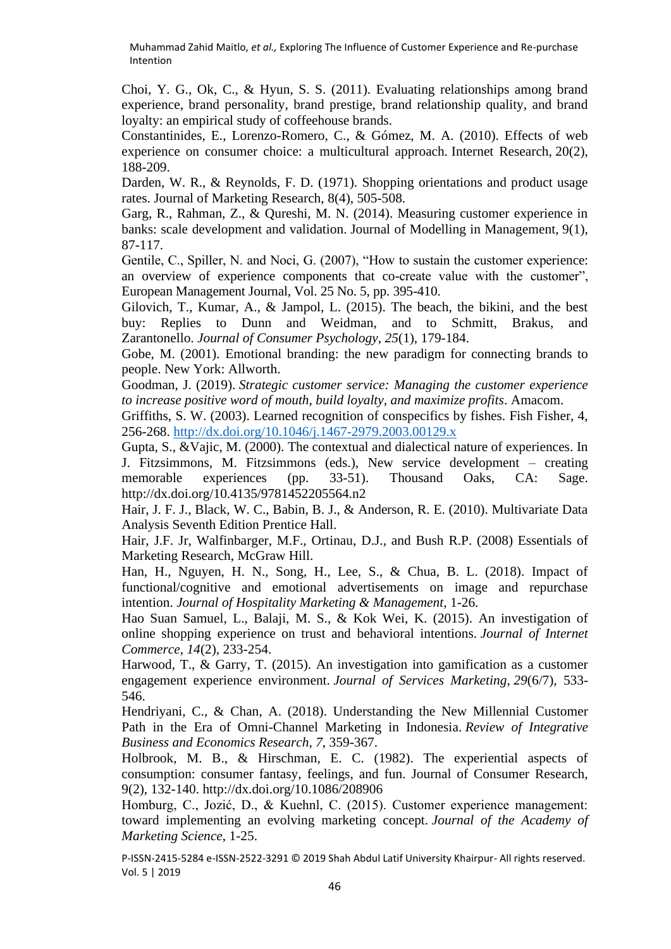Choi, Y. G., Ok, C., & Hyun, S. S. (2011). Evaluating relationships among brand experience, brand personality, brand prestige, brand relationship quality, and brand loyalty: an empirical study of coffeehouse brands.

Constantinides, E., Lorenzo-Romero, C., & Gómez, M. A. (2010). Effects of web experience on consumer choice: a multicultural approach. Internet Research, 20(2), 188-209.

Darden, W. R., & Reynolds, F. D. (1971). Shopping orientations and product usage rates. Journal of Marketing Research, 8(4), 505-508.

Garg, R., Rahman, Z., & Qureshi, M. N. (2014). Measuring customer experience in banks: scale development and validation. Journal of Modelling in Management, 9(1), 87-117.

Gentile, C., Spiller, N. and Noci, G. (2007), "How to sustain the customer experience: an overview of experience components that co-create value with the customer", European Management Journal, Vol. 25 No. 5, pp. 395-410.

Gilovich, T., Kumar, A., & Jampol, L. (2015). The beach, the bikini, and the best buy: Replies to Dunn and Weidman, and to Schmitt, Brakus, and Zarantonello. *Journal of Consumer Psychology*, *25*(1), 179-184.

Gobe, M. (2001). Emotional branding: the new paradigm for connecting brands to people. New York: Allworth.

Goodman, J. (2019). *Strategic customer service: Managing the customer experience to increase positive word of mouth, build loyalty, and maximize profits*. Amacom.

Griffiths, S. W. (2003). Learned recognition of conspecifics by fishes. Fish Fisher, 4, 256-268.<http://dx.doi.org/10.1046/j.1467-2979.2003.00129.x>

Gupta, S., &Vajic, M. (2000). The contextual and dialectical nature of experiences. In J. Fitzsimmons, M. Fitzsimmons (eds.), New service development – creating memorable experiences (pp. 33-51). Thousand Oaks, CA: Sage. http://dx.doi.org/10.4135/9781452205564.n2

Hair, J. F. J., Black, W. C., Babin, B. J., & Anderson, R. E. (2010). Multivariate Data Analysis Seventh Edition Prentice Hall.

Hair, J.F. Jr, Walfinbarger, M.F., Ortinau, D.J., and Bush R.P. (2008) Essentials of Marketing Research, McGraw Hill.

Han, H., Nguyen, H. N., Song, H., Lee, S., & Chua, B. L. (2018). Impact of functional/cognitive and emotional advertisements on image and repurchase intention. *Journal of Hospitality Marketing & Management*, 1-26.

Hao Suan Samuel, L., Balaji, M. S., & Kok Wei, K. (2015). An investigation of online shopping experience on trust and behavioral intentions. *Journal of Internet Commerce*, *14*(2), 233-254.

Harwood, T., & Garry, T. (2015). An investigation into gamification as a customer engagement experience environment. *Journal of Services Marketing*, *29*(6/7), 533- 546.

Hendriyani, C., & Chan, A. (2018). Understanding the New Millennial Customer Path in the Era of Omni-Channel Marketing in Indonesia. *Review of Integrative Business and Economics Research*, *7*, 359-367.

Holbrook, M. B., & Hirschman, E. C. (1982). The experiential aspects of consumption: consumer fantasy, feelings, and fun. Journal of Consumer Research, 9(2), 132-140. http://dx.doi.org/10.1086/208906

Homburg, C., Jozić, D., & Kuehnl, C. (2015). Customer experience management: toward implementing an evolving marketing concept. *Journal of the Academy of Marketing Science*, 1-25.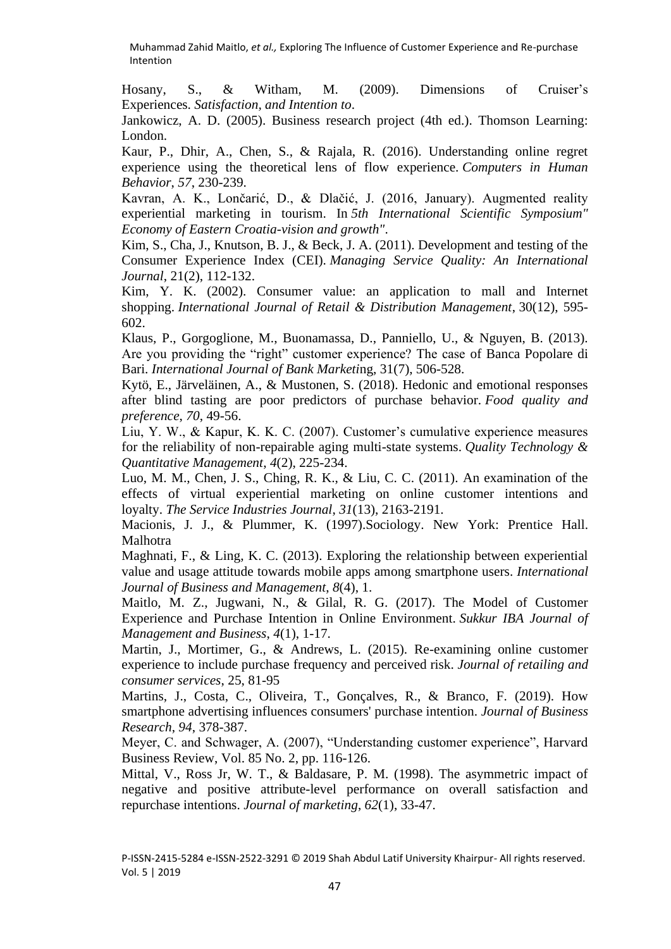Hosany, S., & Witham, M. (2009). Dimensions of Cruiser's Experiences. *Satisfaction, and Intention to*.

Jankowicz, A. D. (2005). Business research project (4th ed.). Thomson Learning: London.

Kaur, P., Dhir, A., Chen, S., & Rajala, R. (2016). Understanding online regret experience using the theoretical lens of flow experience. *Computers in Human Behavior*, *57*, 230-239.

Kavran, A. K., Lončarić, D., & Dlačić, J. (2016, January). Augmented reality experiential marketing in tourism. In *5th International Scientific Symposium" Economy of Eastern Croatia-vision and growth"*.

Kim, S., Cha, J., Knutson, B. J., & Beck, J. A. (2011). Development and testing of the Consumer Experience Index (CEI). *Managing Service Quality: An International Journal*, 21(2), 112-132.

Kim, Y. K. (2002). Consumer value: an application to mall and Internet shopping. *International Journal of Retail & Distribution Management*, 30(12), 595- 602.

Klaus, P., Gorgoglione, M., Buonamassa, D., Panniello, U., & Nguyen, B. (2013). Are you providing the "right" customer experience? The case of Banca Popolare di Bari. *International Journal of Bank Marketi*ng, 31(7), 506-528.

Kytö, E., Järveläinen, A., & Mustonen, S. (2018). Hedonic and emotional responses after blind tasting are poor predictors of purchase behavior. *Food quality and preference*, *70*, 49-56.

Liu, Y. W., & Kapur, K. K. C. (2007). Customer's cumulative experience measures for the reliability of non-repairable aging multi-state systems. *Quality Technology & Quantitative Management*, *4*(2), 225-234.

Luo, M. M., Chen, J. S., Ching, R. K., & Liu, C. C. (2011). An examination of the effects of virtual experiential marketing on online customer intentions and loyalty. *The Service Industries Journal*, *31*(13), 2163-2191.

Macionis, J. J., & Plummer, K. (1997).Sociology. New York: Prentice Hall. Malhotra

Maghnati, F., & Ling, K. C. (2013). Exploring the relationship between experiential value and usage attitude towards mobile apps among smartphone users. *International Journal of Business and Management*, *8*(4), 1.

Maitlo, M. Z., Jugwani, N., & Gilal, R. G. (2017). The Model of Customer Experience and Purchase Intention in Online Environment. *Sukkur IBA Journal of Management and Business*, *4*(1), 1-17.

Martin, J., Mortimer, G., & Andrews, L. (2015). Re-examining online customer experience to include purchase frequency and perceived risk. *Journal of retailing and consumer services*, 25, 81-95

Martins, J., Costa, C., Oliveira, T., Gonçalves, R., & Branco, F. (2019). How smartphone advertising influences consumers' purchase intention. *Journal of Business Research*, *94*, 378-387.

Meyer, C. and Schwager, A. (2007), "Understanding customer experience", Harvard Business Review, Vol. 85 No. 2, pp. 116-126.

Mittal, V., Ross Jr, W. T., & Baldasare, P. M. (1998). The asymmetric impact of negative and positive attribute-level performance on overall satisfaction and repurchase intentions. *Journal of marketing*, *62*(1), 33-47.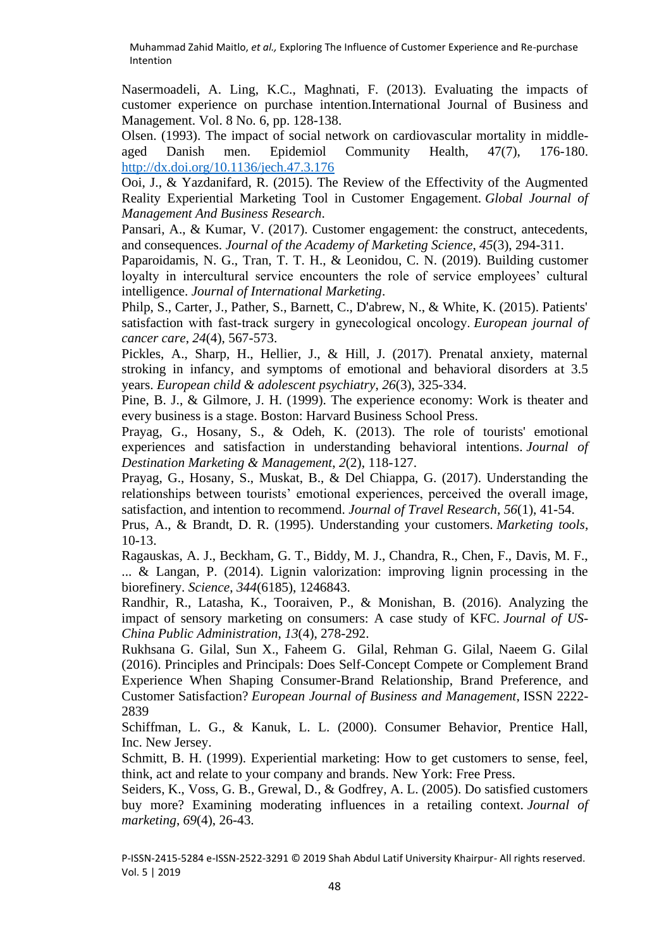Nasermoadeli, A. Ling, K.C., Maghnati, F. (2013). Evaluating the impacts of customer experience on purchase intention.International Journal of Business and Management. Vol. 8 No. 6, pp. 128-138.

Olsen. (1993). The impact of social network on cardiovascular mortality in middleaged Danish men. Epidemiol Community Health, 47(7), 176-180. <http://dx.doi.org/10.1136/jech.47.3.176>

Ooi, J., & Yazdanifard, R. (2015). The Review of the Effectivity of the Augmented Reality Experiential Marketing Tool in Customer Engagement. *Global Journal of Management And Business Research*.

Pansari, A., & Kumar, V. (2017). Customer engagement: the construct, antecedents, and consequences. *Journal of the Academy of Marketing Science*, *45*(3), 294-311.

Paparoidamis, N. G., Tran, T. T. H., & Leonidou, C. N. (2019). Building customer loyalty in intercultural service encounters the role of service employees' cultural intelligence. *Journal of International Marketing*.

Philp, S., Carter, J., Pather, S., Barnett, C., D'abrew, N., & White, K. (2015). Patients' satisfaction with fast-track surgery in gynecological oncology. *European journal of cancer care*, *24*(4), 567-573.

Pickles, A., Sharp, H., Hellier, J., & Hill, J. (2017). Prenatal anxiety, maternal stroking in infancy, and symptoms of emotional and behavioral disorders at 3.5 years. *European child & adolescent psychiatry*, *26*(3), 325-334.

Pine, B. J., & Gilmore, J. H. (1999). The experience economy: Work is theater and every business is a stage. Boston: Harvard Business School Press.

Prayag, G., Hosany, S., & Odeh, K. (2013). The role of tourists' emotional experiences and satisfaction in understanding behavioral intentions. *Journal of Destination Marketing & Management*, *2*(2), 118-127.

Prayag, G., Hosany, S., Muskat, B., & Del Chiappa, G. (2017). Understanding the relationships between tourists' emotional experiences, perceived the overall image, satisfaction, and intention to recommend. *Journal of Travel Research*, *56*(1), 41-54.

Prus, A., & Brandt, D. R. (1995). Understanding your customers. *Marketing tools*, 10-13.

Ragauskas, A. J., Beckham, G. T., Biddy, M. J., Chandra, R., Chen, F., Davis, M. F., ... & Langan, P. (2014). Lignin valorization: improving lignin processing in the biorefinery. *Science*, *344*(6185), 1246843.

Randhir, R., Latasha, K., Tooraiven, P., & Monishan, B. (2016). Analyzing the impact of sensory marketing on consumers: A case study of KFC. *Journal of US-China Public Administration*, *13*(4), 278-292.

Rukhsana G. Gilal, Sun X., Faheem G. Gilal, Rehman G. Gilal, Naeem G. Gilal (2016). Principles and Principals: Does Self-Concept Compete or Complement Brand Experience When Shaping Consumer-Brand Relationship, Brand Preference, and Customer Satisfaction? *European Journal of Business and Management*, ISSN 2222- 2839

Schiffman, L. G., & Kanuk, L. L. (2000). Consumer Behavior, Prentice Hall, Inc. New Jersey.

Schmitt, B. H. (1999). Experiential marketing: How to get customers to sense, feel, think, act and relate to your company and brands. New York: Free Press.

Seiders, K., Voss, G. B., Grewal, D., & Godfrey, A. L. (2005). Do satisfied customers buy more? Examining moderating influences in a retailing context. *Journal of marketing*, *69*(4), 26-43.